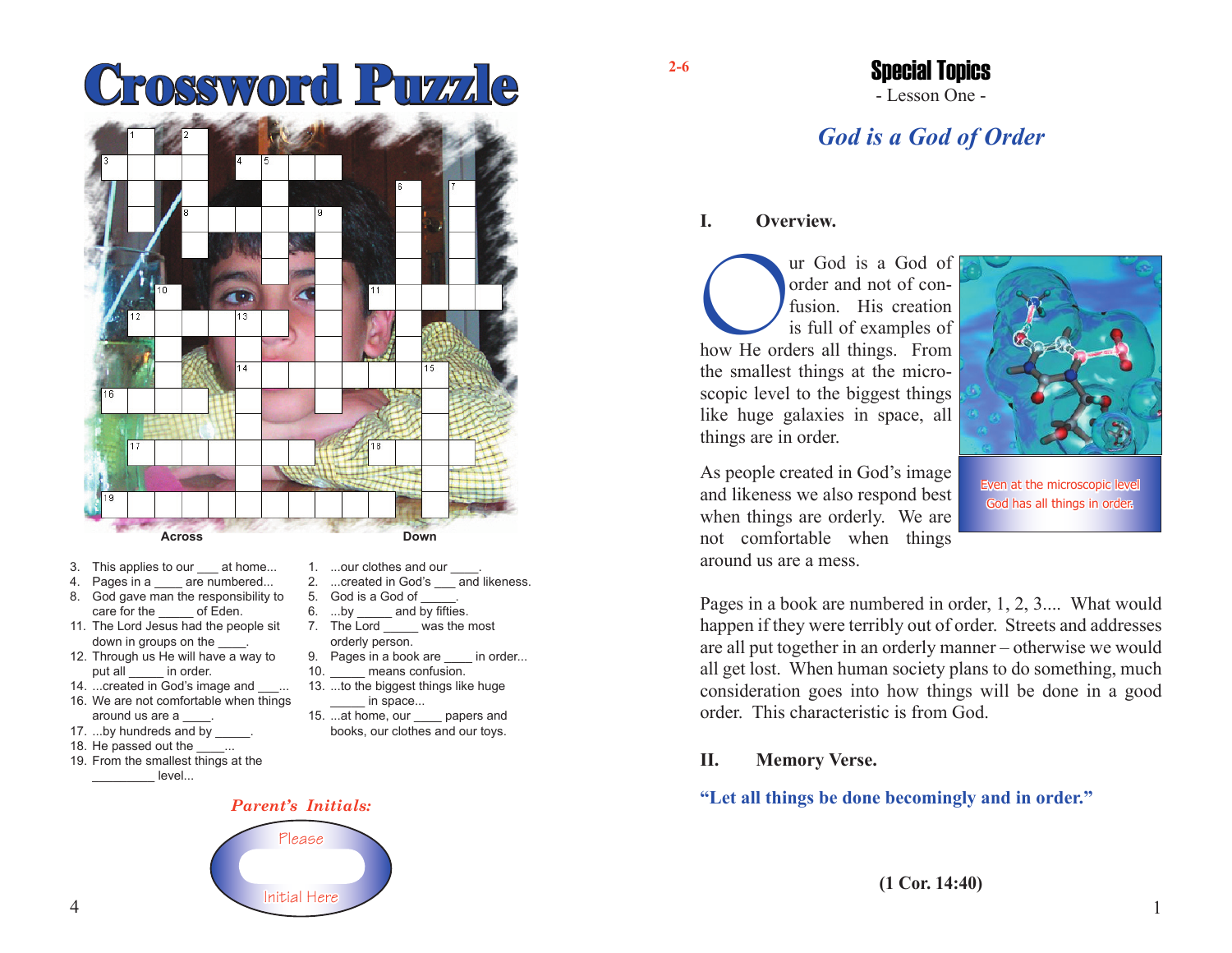# **Crossword Puzzle**



- 3. This applies to our at home...
- 4. Pages in a \_\_\_\_ are numbered...
- 8. God gave man the responsibility to care for the of Eden.
- 11. The Lord Jesus had the people sit down in groups on the  $\qquad$ .
- 12. Through us He will have a way to put all in order.
- 14. ...created in God's image and ... 16. We are not comfortable when things
- around us are a \_\_\_\_. 17. ...by hundreds and by
- 18. He passed out the  $\ldots$
- 
- 19. From the smallest things at the level...
- 1. ...our clothes and our
- 2. ...created in God's and likeness.
- 5. God is a God of
- 6. ...by and by fifties. 7. The Lord was the most
- orderly person. 9. Pages in a book are in order...
- 10. **means confusion.**
- 13. ...to the biggest things like huge in space...
- 15. ...at home, our \_\_\_\_ papers and books, our clothes and our toys.

### **2-6**

## - Lesson One - Special Topics

# *God is a God of Order*

#### **I. Overview.**

The Corole of the Content of Content and not of contents is full of examples of how He orders all things. From order and not of confusion His creation is full of examples of the smallest things at the microscopic level to the biggest things like huge galaxies in space, all things are in order.



As people created in God's image and likeness we also respond best when things are orderly. We are not comfortable when things around us are a mess.

#### Even at the microscopic leve God has all things in order.

Pages in a book are numbered in order, 1, 2, 3.... What would happen if they were terribly out of order. Streets and addresses are all put together in an orderly manner – otherwise we would all get lost. When human society plans to do something, much consideration goes into how things will be done in a good order. This characteristic is from God.

#### **II. Memory Verse.**

#### **"Let all things be done becomingly and in order."**

Please Initial Here

*Parent's Initials:*